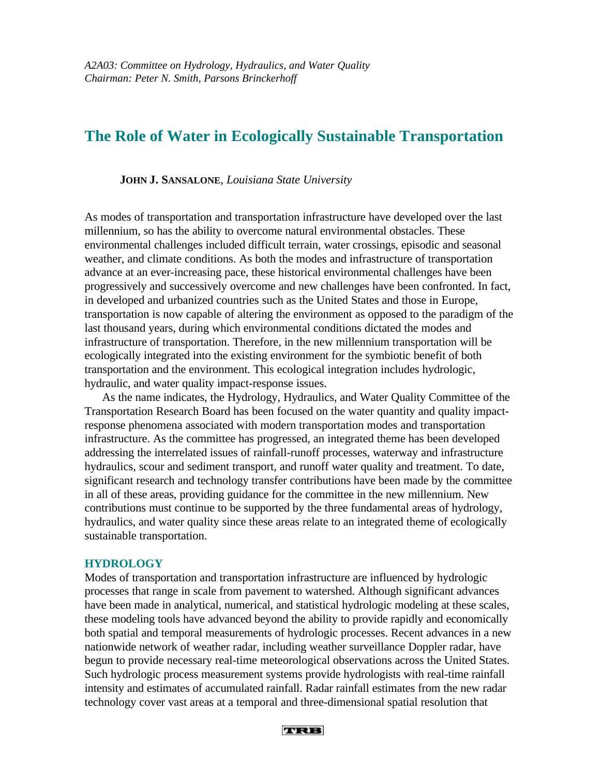# **The Role of Water in Ecologically Sustainable Transportation**

**JOHN J. SANSALONE**, *Louisiana State University*

As modes of transportation and transportation infrastructure have developed over the last millennium, so has the ability to overcome natural environmental obstacles. These environmental challenges included difficult terrain, water crossings, episodic and seasonal weather, and climate conditions. As both the modes and infrastructure of transportation advance at an ever-increasing pace, these historical environmental challenges have been progressively and successively overcome and new challenges have been confronted. In fact, in developed and urbanized countries such as the United States and those in Europe, transportation is now capable of altering the environment as opposed to the paradigm of the last thousand years, during which environmental conditions dictated the modes and infrastructure of transportation. Therefore, in the new millennium transportation will be ecologically integrated into the existing environment for the symbiotic benefit of both transportation and the environment. This ecological integration includes hydrologic, hydraulic, and water quality impact-response issues.

As the name indicates, the Hydrology, Hydraulics, and Water Quality Committee of the Transportation Research Board has been focused on the water quantity and quality impactresponse phenomena associated with modern transportation modes and transportation infrastructure. As the committee has progressed, an integrated theme has been developed addressing the interrelated issues of rainfall-runoff processes, waterway and infrastructure hydraulics, scour and sediment transport, and runoff water quality and treatment. To date, significant research and technology transfer contributions have been made by the committee in all of these areas, providing guidance for the committee in the new millennium. New contributions must continue to be supported by the three fundamental areas of hydrology, hydraulics, and water quality since these areas relate to an integrated theme of ecologically sustainable transportation.

### **HYDROLOGY**

Modes of transportation and transportation infrastructure are influenced by hydrologic processes that range in scale from pavement to watershed. Although significant advances have been made in analytical, numerical, and statistical hydrologic modeling at these scales, these modeling tools have advanced beyond the ability to provide rapidly and economically both spatial and temporal measurements of hydrologic processes. Recent advances in a new nationwide network of weather radar, including weather surveillance Doppler radar, have begun to provide necessary real-time meteorological observations across the United States. Such hydrologic process measurement systems provide hydrologists with real-time rainfall intensity and estimates of accumulated rainfall. Radar rainfall estimates from the new radar technology cover vast areas at a temporal and three-dimensional spatial resolution that

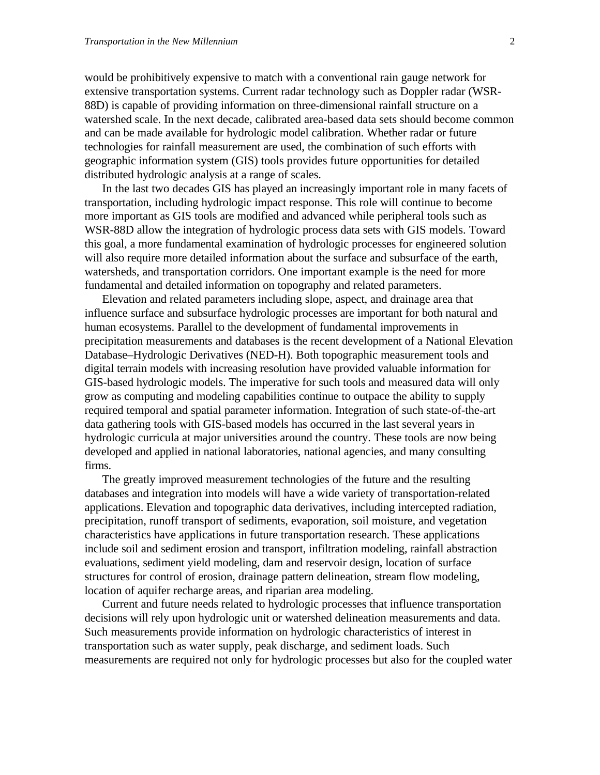would be prohibitively expensive to match with a conventional rain gauge network for extensive transportation systems. Current radar technology such as Doppler radar (WSR-88D) is capable of providing information on three-dimensional rainfall structure on a watershed scale. In the next decade, calibrated area-based data sets should become common and can be made available for hydrologic model calibration. Whether radar or future technologies for rainfall measurement are used, the combination of such efforts with geographic information system (GIS) tools provides future opportunities for detailed distributed hydrologic analysis at a range of scales.

In the last two decades GIS has played an increasingly important role in many facets of transportation, including hydrologic impact response. This role will continue to become more important as GIS tools are modified and advanced while peripheral tools such as WSR-88D allow the integration of hydrologic process data sets with GIS models. Toward this goal, a more fundamental examination of hydrologic processes for engineered solution will also require more detailed information about the surface and subsurface of the earth, watersheds, and transportation corridors. One important example is the need for more fundamental and detailed information on topography and related parameters.

Elevation and related parameters including slope, aspect, and drainage area that influence surface and subsurface hydrologic processes are important for both natural and human ecosystems. Parallel to the development of fundamental improvements in precipitation measurements and databases is the recent development of a National Elevation Database–Hydrologic Derivatives (NED-H). Both topographic measurement tools and digital terrain models with increasing resolution have provided valuable information for GIS-based hydrologic models. The imperative for such tools and measured data will only grow as computing and modeling capabilities continue to outpace the ability to supply required temporal and spatial parameter information. Integration of such state-of-the-art data gathering tools with GIS-based models has occurred in the last several years in hydrologic curricula at major universities around the country. These tools are now being developed and applied in national laboratories, national agencies, and many consulting firms.

The greatly improved measurement technologies of the future and the resulting databases and integration into models will have a wide variety of transportation-related applications. Elevation and topographic data derivatives, including intercepted radiation, precipitation, runoff transport of sediments, evaporation, soil moisture, and vegetation characteristics have applications in future transportation research. These applications include soil and sediment erosion and transport, infiltration modeling, rainfall abstraction evaluations, sediment yield modeling, dam and reservoir design, location of surface structures for control of erosion, drainage pattern delineation, stream flow modeling, location of aquifer recharge areas, and riparian area modeling.

Current and future needs related to hydrologic processes that influence transportation decisions will rely upon hydrologic unit or watershed delineation measurements and data. Such measurements provide information on hydrologic characteristics of interest in transportation such as water supply, peak discharge, and sediment loads. Such measurements are required not only for hydrologic processes but also for the coupled water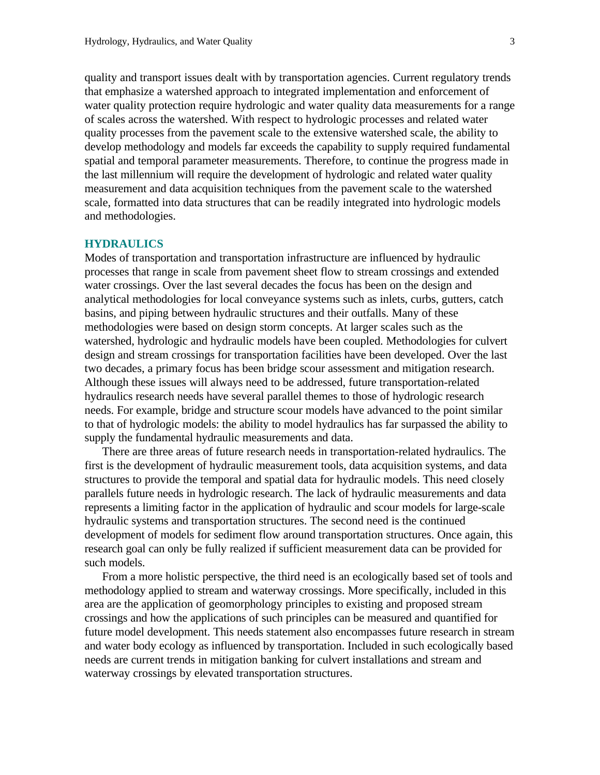quality and transport issues dealt with by transportation agencies. Current regulatory trends that emphasize a watershed approach to integrated implementation and enforcement of water quality protection require hydrologic and water quality data measurements for a range of scales across the watershed. With respect to hydrologic processes and related water quality processes from the pavement scale to the extensive watershed scale, the ability to develop methodology and models far exceeds the capability to supply required fundamental spatial and temporal parameter measurements. Therefore, to continue the progress made in the last millennium will require the development of hydrologic and related water quality measurement and data acquisition techniques from the pavement scale to the watershed scale, formatted into data structures that can be readily integrated into hydrologic models and methodologies.

### **HYDRAULICS**

Modes of transportation and transportation infrastructure are influenced by hydraulic processes that range in scale from pavement sheet flow to stream crossings and extended water crossings. Over the last several decades the focus has been on the design and analytical methodologies for local conveyance systems such as inlets, curbs, gutters, catch basins, and piping between hydraulic structures and their outfalls. Many of these methodologies were based on design storm concepts. At larger scales such as the watershed, hydrologic and hydraulic models have been coupled. Methodologies for culvert design and stream crossings for transportation facilities have been developed. Over the last two decades, a primary focus has been bridge scour assessment and mitigation research. Although these issues will always need to be addressed, future transportation-related hydraulics research needs have several parallel themes to those of hydrologic research needs. For example, bridge and structure scour models have advanced to the point similar to that of hydrologic models: the ability to model hydraulics has far surpassed the ability to supply the fundamental hydraulic measurements and data.

There are three areas of future research needs in transportation-related hydraulics. The first is the development of hydraulic measurement tools, data acquisition systems, and data structures to provide the temporal and spatial data for hydraulic models. This need closely parallels future needs in hydrologic research. The lack of hydraulic measurements and data represents a limiting factor in the application of hydraulic and scour models for large-scale hydraulic systems and transportation structures. The second need is the continued development of models for sediment flow around transportation structures. Once again, this research goal can only be fully realized if sufficient measurement data can be provided for such models.

From a more holistic perspective, the third need is an ecologically based set of tools and methodology applied to stream and waterway crossings. More specifically, included in this area are the application of geomorphology principles to existing and proposed stream crossings and how the applications of such principles can be measured and quantified for future model development. This needs statement also encompasses future research in stream and water body ecology as influenced by transportation. Included in such ecologically based needs are current trends in mitigation banking for culvert installations and stream and waterway crossings by elevated transportation structures.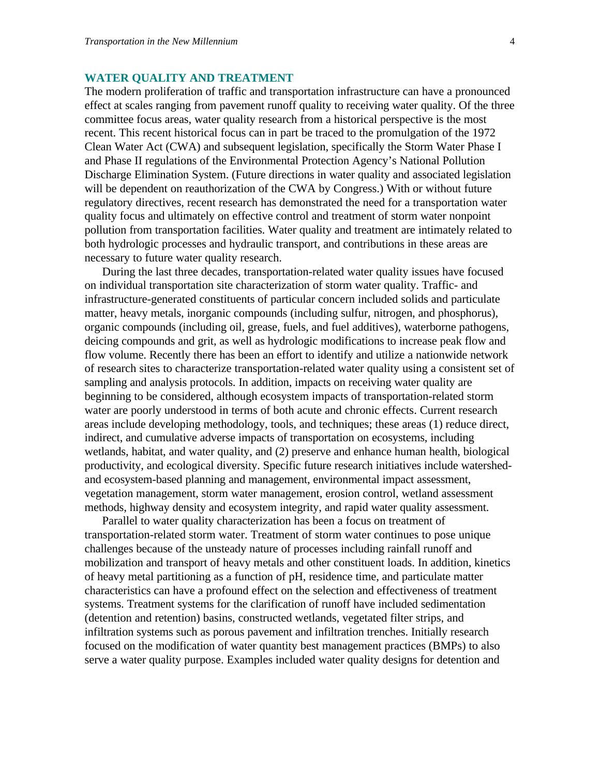#### **WATER QUALITY AND TREATMENT**

The modern proliferation of traffic and transportation infrastructure can have a pronounced effect at scales ranging from pavement runoff quality to receiving water quality. Of the three committee focus areas, water quality research from a historical perspective is the most recent. This recent historical focus can in part be traced to the promulgation of the 1972 Clean Water Act (CWA) and subsequent legislation, specifically the Storm Water Phase I and Phase II regulations of the Environmental Protection Agency's National Pollution Discharge Elimination System. (Future directions in water quality and associated legislation will be dependent on reauthorization of the CWA by Congress.) With or without future regulatory directives, recent research has demonstrated the need for a transportation water quality focus and ultimately on effective control and treatment of storm water nonpoint pollution from transportation facilities. Water quality and treatment are intimately related to both hydrologic processes and hydraulic transport, and contributions in these areas are necessary to future water quality research.

During the last three decades, transportation-related water quality issues have focused on individual transportation site characterization of storm water quality. Traffic- and infrastructure-generated constituents of particular concern included solids and particulate matter, heavy metals, inorganic compounds (including sulfur, nitrogen, and phosphorus), organic compounds (including oil, grease, fuels, and fuel additives), waterborne pathogens, deicing compounds and grit, as well as hydrologic modifications to increase peak flow and flow volume. Recently there has been an effort to identify and utilize a nationwide network of research sites to characterize transportation-related water quality using a consistent set of sampling and analysis protocols. In addition, impacts on receiving water quality are beginning to be considered, although ecosystem impacts of transportation-related storm water are poorly understood in terms of both acute and chronic effects. Current research areas include developing methodology, tools, and techniques; these areas (1) reduce direct, indirect, and cumulative adverse impacts of transportation on ecosystems, including wetlands, habitat, and water quality, and (2) preserve and enhance human health, biological productivity, and ecological diversity. Specific future research initiatives include watershedand ecosystem-based planning and management, environmental impact assessment, vegetation management, storm water management, erosion control, wetland assessment methods, highway density and ecosystem integrity, and rapid water quality assessment.

Parallel to water quality characterization has been a focus on treatment of transportation-related storm water. Treatment of storm water continues to pose unique challenges because of the unsteady nature of processes including rainfall runoff and mobilization and transport of heavy metals and other constituent loads. In addition, kinetics of heavy metal partitioning as a function of pH, residence time, and particulate matter characteristics can have a profound effect on the selection and effectiveness of treatment systems. Treatment systems for the clarification of runoff have included sedimentation (detention and retention) basins, constructed wetlands, vegetated filter strips, and infiltration systems such as porous pavement and infiltration trenches. Initially research focused on the modification of water quantity best management practices (BMPs) to also serve a water quality purpose. Examples included water quality designs for detention and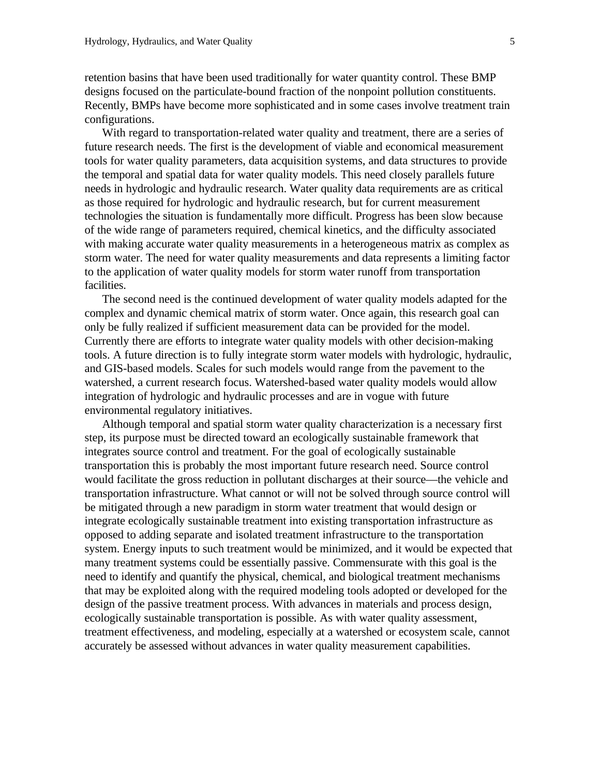retention basins that have been used traditionally for water quantity control. These BMP designs focused on the particulate-bound fraction of the nonpoint pollution constituents. Recently, BMPs have become more sophisticated and in some cases involve treatment train configurations.

With regard to transportation-related water quality and treatment, there are a series of future research needs. The first is the development of viable and economical measurement tools for water quality parameters, data acquisition systems, and data structures to provide the temporal and spatial data for water quality models. This need closely parallels future needs in hydrologic and hydraulic research. Water quality data requirements are as critical as those required for hydrologic and hydraulic research, but for current measurement technologies the situation is fundamentally more difficult. Progress has been slow because of the wide range of parameters required, chemical kinetics, and the difficulty associated with making accurate water quality measurements in a heterogeneous matrix as complex as storm water. The need for water quality measurements and data represents a limiting factor to the application of water quality models for storm water runoff from transportation facilities.

The second need is the continued development of water quality models adapted for the complex and dynamic chemical matrix of storm water. Once again, this research goal can only be fully realized if sufficient measurement data can be provided for the model. Currently there are efforts to integrate water quality models with other decision-making tools. A future direction is to fully integrate storm water models with hydrologic, hydraulic, and GIS-based models. Scales for such models would range from the pavement to the watershed, a current research focus. Watershed-based water quality models would allow integration of hydrologic and hydraulic processes and are in vogue with future environmental regulatory initiatives.

Although temporal and spatial storm water quality characterization is a necessary first step, its purpose must be directed toward an ecologically sustainable framework that integrates source control and treatment. For the goal of ecologically sustainable transportation this is probably the most important future research need. Source control would facilitate the gross reduction in pollutant discharges at their source—the vehicle and transportation infrastructure. What cannot or will not be solved through source control will be mitigated through a new paradigm in storm water treatment that would design or integrate ecologically sustainable treatment into existing transportation infrastructure as opposed to adding separate and isolated treatment infrastructure to the transportation system. Energy inputs to such treatment would be minimized, and it would be expected that many treatment systems could be essentially passive. Commensurate with this goal is the need to identify and quantify the physical, chemical, and biological treatment mechanisms that may be exploited along with the required modeling tools adopted or developed for the design of the passive treatment process. With advances in materials and process design, ecologically sustainable transportation is possible. As with water quality assessment, treatment effectiveness, and modeling, especially at a watershed or ecosystem scale, cannot accurately be assessed without advances in water quality measurement capabilities.